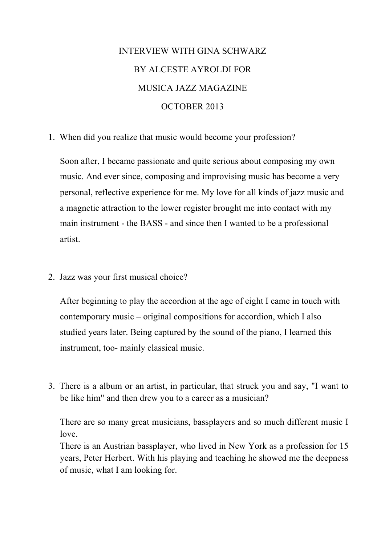## INTERVIEW WITH GINA SCHWARZ BY ALCESTE AYROLDI FOR MUSICA JAZZ MAGAZINE OCTOBER 2013

1. When did you realize that music would become your profession?

Soon after, I became passionate and quite serious about composing my own music. And ever since, composing and improvising music has become a very personal, reflective experience for me. My love for all kinds of jazz music and a magnetic attraction to the lower register brought me into contact with my main instrument - the BASS - and since then I wanted to be a professional artist.

2. Jazz was your first musical choice?

After beginning to play the accordion at the age of eight I came in touch with contemporary music – original compositions for accordion, which I also studied years later. Being captured by the sound of the piano, I learned this instrument, too- mainly classical music.

3. There is a album or an artist, in particular, that struck you and say, "I want to be like him" and then drew you to a career as a musician?

There are so many great musicians, bassplayers and so much different music I love.

There is an Austrian bassplayer, who lived in New York as a profession for 15 years, Peter Herbert. With his playing and teaching he showed me the deepness of music, what I am looking for.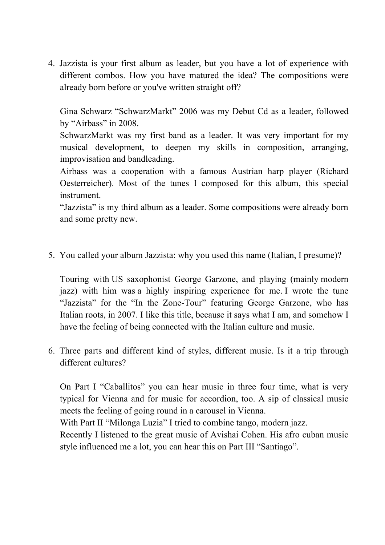4. Jazzista is your first album as leader, but you have a lot of experience with different combos. How you have matured the idea? The compositions were already born before or you've written straight off?

Gina Schwarz "SchwarzMarkt" 2006 was my Debut Cd as a leader, followed by "Airbass" in 2008.

SchwarzMarkt was my first band as a leader. It was very important for my musical development, to deepen my skills in composition, arranging, improvisation and bandleading.

Airbass was a cooperation with a famous Austrian harp player (Richard Oesterreicher). Most of the tunes I composed for this album, this special instrument.

"Jazzista" is my third album as a leader. Some compositions were already born and some pretty new.

5. You called your album Jazzista: why you used this name (Italian, I presume)?

Touring with US saxophonist George Garzone, and playing (mainly modern jazz) with him was a highly inspiring experience for me. I wrote the tune "Jazzista" for the "In the Zone-Tour" featuring George Garzone, who has Italian roots, in 2007. I like this title, because it says what I am, and somehow I have the feeling of being connected with the Italian culture and music.

6. Three parts and different kind of styles, different music. Is it a trip through different cultures?

On Part I "Caballitos" you can hear music in three four time, what is very typical for Vienna and for music for accordion, too. A sip of classical music meets the feeling of going round in a carousel in Vienna.

With Part II "Milonga Luzia" I tried to combine tango, modern jazz.

Recently I listened to the great music of Avishai Cohen. His afro cuban music style influenced me a lot, you can hear this on Part III "Santiago".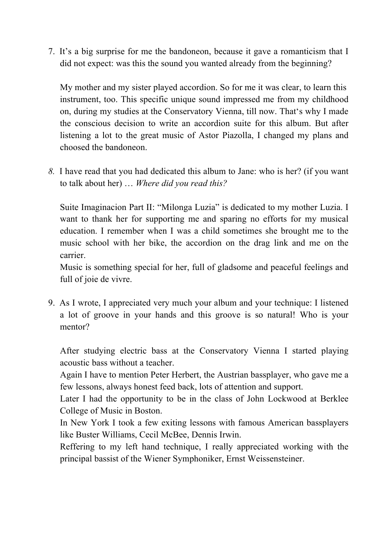7. It's a big surprise for me the bandoneon, because it gave a romanticism that I did not expect: was this the sound you wanted already from the beginning?

My mother and my sister played accordion. So for me it was clear, to learn this instrument, too. This specific unique sound impressed me from my childhood on, during my studies at the Conservatory Vienna, till now. That's why I made the conscious decision to write an accordion suite for this album. But after listening a lot to the great music of Astor Piazolla, I changed my plans and choosed the bandoneon.

*8.* I have read that you had dedicated this album to Jane: who is her? (if you want to talk about her) … *Where did you read this?*

Suite Imaginacion Part II: "Milonga Luzia" is dedicated to my mother Luzia. I want to thank her for supporting me and sparing no efforts for my musical education. I remember when I was a child sometimes she brought me to the music school with her bike, the accordion on the drag link and me on the carrier.

Music is something special for her, full of gladsome and peaceful feelings and full of joie de vivre.

9. As I wrote, I appreciated very much your album and your technique: I listened a lot of groove in your hands and this groove is so natural! Who is your mentor?

After studying electric bass at the Conservatory Vienna I started playing acoustic bass without a teacher.

Again I have to mention Peter Herbert, the Austrian bassplayer, who gave me a few lessons, always honest feed back, lots of attention and support.

Later I had the opportunity to be in the class of John Lockwood at Berklee College of Music in Boston.

In New York I took a few exiting lessons with famous American bassplayers like Buster Williams, Cecil McBee, Dennis Irwin.

Reffering to my left hand technique, I really appreciated working with the principal bassist of the Wiener Symphoniker, Ernst Weissensteiner.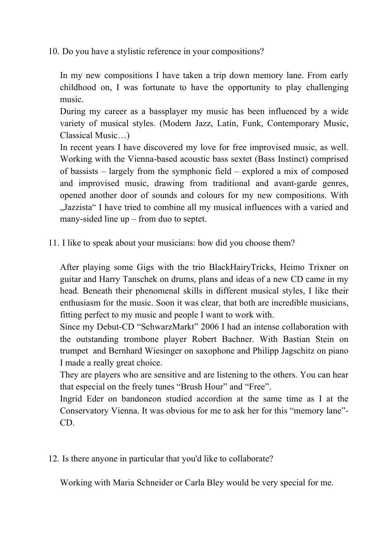10. Do you have a stylistic reference in your compositions?

In my new compositions I have taken a trip down memory lane. From early childhood on, I was fortunate to have the opportunity to play challenging music.

During my career as a bassplayer my music has been influenced by a wide variety of musical styles. (Modern Jazz, Latin, Funk, Contemporary Music, Classical Music…)

In recent years I have discovered my love for free improvised music, as well. Working with the Vienna-based acoustic bass sextet (Bass Instinct) comprised of bassists – largely from the symphonic field – explored a mix of composed and improvised music, drawing from traditional and avant-garde genres, opened another door of sounds and colours for my new compositions. With "Jazzista" I have tried to combine all my musical influences with a varied and many-sided line up – from duo to septet.

11. I like to speak about your musicians: how did you choose them?

After playing some Gigs with the trio BlackHairyTricks, Heimo Trixner on guitar and Harry Tanschek on drums, plans and ideas of a new CD came in my head. Beneath their phenomenal skills in different musical styles, I like their enthusiasm for the music. Soon it was clear, that both are incredible musicians, fitting perfect to my music and people I want to work with.

Since my Debut-CD "SchwarzMarkt" 2006 I had an intense collaboration with the outstanding trombone player Robert Bachner. With Bastian Stein on trumpet and Bernhard Wiesinger on saxophone and Philipp Jagschitz on piano I made a really great choice.

They are players who are sensitive and are listening to the others. You can hear that especial on the freely tunes "Brush Hour" and "Free".

Ingrid Eder on bandoneon studied accordion at the same time as I at the Conservatory Vienna. It was obvious for me to ask her for this "memory lane"- CD.

12. Is there anyone in particular that you'd like to collaborate?

Working with Maria Schneider or Carla Bley would be very special for me.